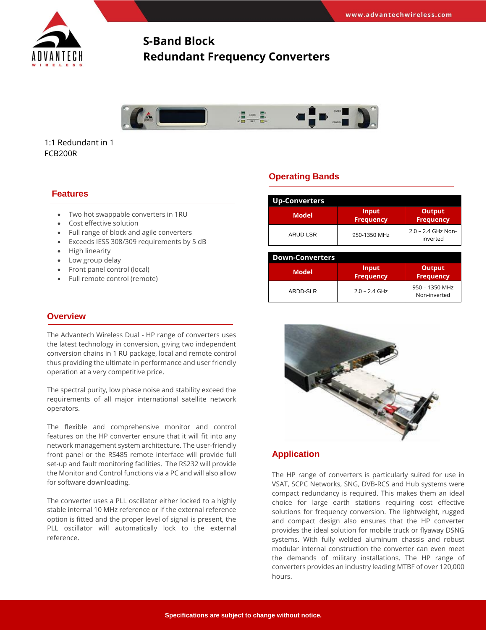

# **S-Band Block Redundant Frequency Converters**



1:1 Redundant in 1 FCB200R

## **Features**

- Two hot swappable converters in 1RU
- Cost effective solution
- Full range of block and agile converters
- Exceeds IESS 308/309 requirements by 5 dB
- High linearity
- Low group delay
- Front panel control (local)
- Full remote control (remote)

### **Overview**

The Advantech Wireless Dual - HP range of converters uses the latest technology in conversion, giving two independent conversion chains in 1 RU package, local and remote control thus providing the ultimate in performance and user friendly operation at a very competitive price.

The spectral purity, low phase noise and stability exceed the requirements of all major international satellite network operators.

The flexible and comprehensive monitor and control features on the HP converter ensure that it will fit into any network management system architecture. The user-friendly front panel or the RS485 remote interface will provide full set-up and fault monitoring facilities. The RS232 will provide the Monitor and Control functions via a PC and will also allow for software downloading.

The converter uses a PLL oscillator either locked to a highly stable internal 10 MHz reference or if the external reference option is fitted and the proper level of signal is present, the PLL oscillator will automatically lock to the external reference.

## **Operating Bands**

| <b>Up-Converters</b> |                           |                                   |  |  |  |
|----------------------|---------------------------|-----------------------------------|--|--|--|
| <b>Model</b>         | Input<br><b>Frequency</b> | <b>Output</b><br><b>Frequency</b> |  |  |  |
| ARUD-LSR             | 950-1350 MHz              | 2.0 - 2.4 GHz Non-<br>inverted    |  |  |  |

| <b>Down-Converters</b> |                           |                                   |  |  |  |
|------------------------|---------------------------|-----------------------------------|--|--|--|
| <b>Model</b>           | Input<br><b>Frequency</b> | <b>Output</b><br><b>Frequency</b> |  |  |  |
| ARDD-SLR               | $2.0 - 2.4$ GHz           | 950 - 1350 MHz<br>Non-inverted    |  |  |  |



### **Application**

The HP range of converters is particularly suited for use in VSAT, SCPC Networks, SNG, DVB-RCS and Hub systems were compact redundancy is required. This makes them an ideal choice for large earth stations requiring cost effective solutions for frequency conversion. The lightweight, rugged and compact design also ensures that the HP converter provides the ideal solution for mobile truck or flyaway DSNG systems. With fully welded aluminum chassis and robust modular internal construction the converter can even meet the demands of military installations. The HP range of converters provides an industry leading MTBF of over 120,000 hours.